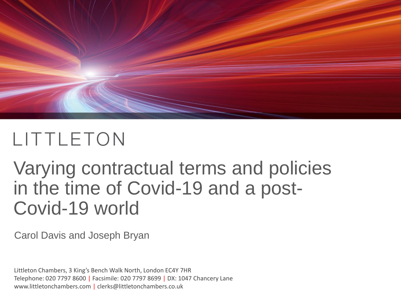

## Varying contractual terms and policies in the time of Covid-19 and a post-Covid-19 world

Carol Davis and Joseph Bryan

Littleton Chambers, 3 King's Bench Walk North, London EC4Y 7HR Telephone: 020 7797 8600 | Facsimile: 020 7797 8699 | DX: 1047 Chancery Lane www.littletonchambers.com | clerks@littletonchambers.co.uk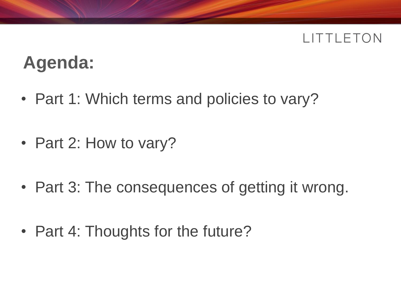# **Agenda:**

- Part 1: Which terms and policies to vary?
- Part 2: How to vary?
- Part 3: The consequences of getting it wrong.
- Part 4: Thoughts for the future?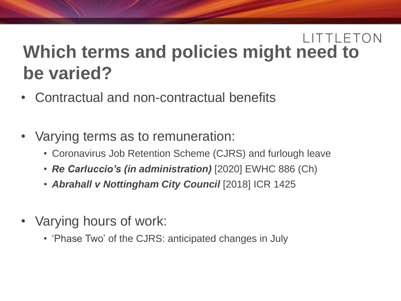#### LITTLETON **Which terms and policies might need to be varied?**

- Contractual and non-contractual benefits
- Varying terms as to remuneration:
	- Coronavirus Job Retention Scheme (CJRS) and furlough leave
	- *Re Carluccio's (in administration)* [2020] EWHC 886 (Ch)
	- *Abrahall v Nottingham City Council* [2018] ICR 1425
- Varying hours of work:
	- 'Phase Two' of the CJRS: anticipated changes in July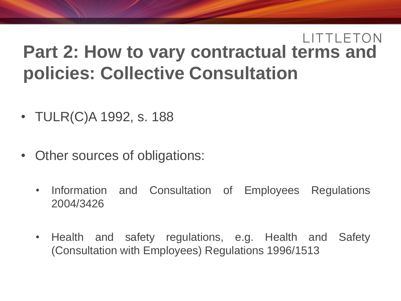#### LITTLETON **Part 2: How to vary contractual terms and policies: Collective Consultation**

- TULR(C)A 1992, s. 188
- Other sources of obligations:
	- Information and Consultation of Employees Regulations 2004/3426
	- Health and safety regulations, e.g. Health and Safety (Consultation with Employees) Regulations 1996/1513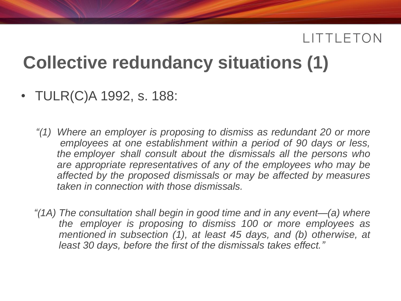## **Collective redundancy situations (1)**

- TULR(C)A 1992, s. 188:
	- *"(1) Where an employer is proposing to dismiss as redundant 20 or more employees at one establishment within a period of 90 days or less, the employer shall consult about the dismissals all the persons who are appropriate representatives of any of the employees who may be affected by the proposed dismissals or may be affected by measures taken in connection with those dismissals.*
	- *"(1A) The consultation shall begin in good time and in any event—(a) where the employer is proposing to dismiss 100 or more employees as mentioned in subsection (1), at least 45 days, and (b) otherwise, at least 30 days, before the first of the dismissals takes effect."*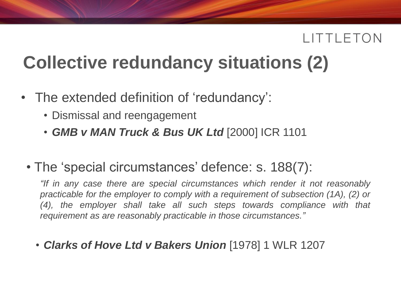# **Collective redundancy situations (2)**

- The extended definition of 'redundancy':
	- Dismissal and reengagement
	- *GMB v MAN Truck & Bus UK Ltd* [2000] ICR 1101
	- The 'special circumstances' defence: s. 188(7):

*"If in any case there are special circumstances which render it not reasonably practicable for the employer to comply with a requirement of subsection (1A), (2) or (4), the employer shall take all such steps towards compliance with that requirement as are reasonably practicable in those circumstances."*

• *Clarks of Hove Ltd v Bakers Union* [1978] 1 WLR 1207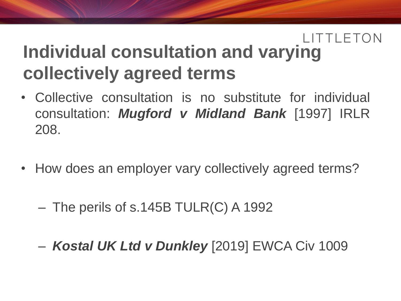# **Individual consultation and varying collectively agreed terms**

- Collective consultation is no substitute for individual consultation: *Mugford v Midland Bank* [1997] IRLR 208.
- How does an employer vary collectively agreed terms?
	- The perils of s.145B TULR(C) A 1992
	- *Kostal UK Ltd v Dunkley* [2019] EWCA Civ 1009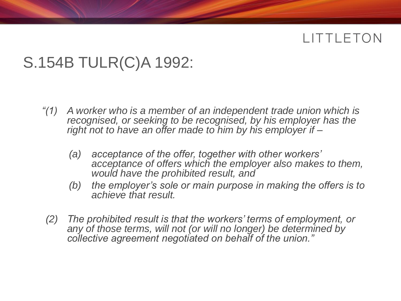#### S.154B TULR(C)A 1992:

- *"(1) A worker who is a member of an independent trade union which is recognised, or seeking to be recognised, by his employer has the right not to have an offer made to him by his employer if –*
	- *(a) acceptance of the offer, together with other workers' acceptance of offers which the employer also makes to them, would have the prohibited result, and*
	- *(b) the employer's sole or main purpose in making the offers is to achieve that result.*
- *(2) The prohibited result is that the workers' terms of employment, or any of those terms, will not (or will no longer) be determined by collective agreement negotiated on behalf of the union."*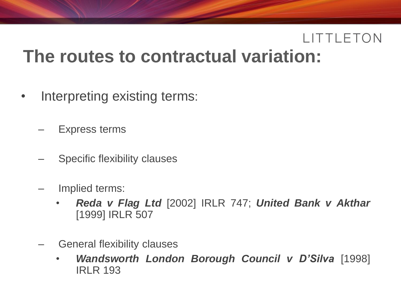## **The routes to contractual variation:**

- Interpreting existing terms:
	- Express terms
	- Specific flexibility clauses
	- Implied terms:
		- *Reda v Flag Ltd* [2002] IRLR 747; *United Bank v Akthar* [1999] IRLR 507
	- General flexibility clauses
		- *Wandsworth London Borough Council v D'Silva* [1998] IRLR 193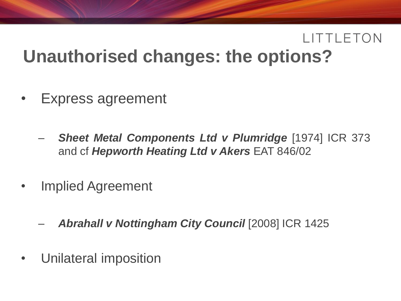### LITTLETON **Unauthorised changes: the options?**

- Express agreement
	- *Sheet Metal Components Ltd v Plumridge* [1974] ICR 373 and cf *Hepworth Heating Ltd v Akers* EAT 846/02
- Implied Agreement
	- *Abrahall v Nottingham City Council* [2008] ICR 1425
- Unilateral imposition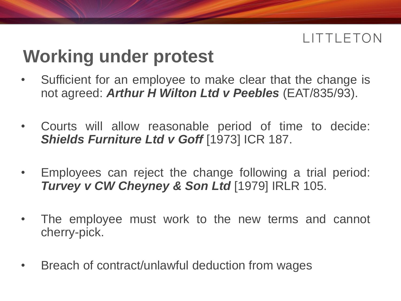## **Working under protest**

- Sufficient for an employee to make clear that the change is not agreed: *Arthur H Wilton Ltd v Peebles* (EAT/835/93).
- Courts will allow reasonable period of time to decide: *Shields Furniture Ltd v Goff* [1973] ICR 187.
- Employees can reject the change following a trial period: *Turvey v CW Cheyney & Son Ltd* [1979] IRLR 105.
- The employee must work to the new terms and cannot cherry-pick.
- Breach of contract/unlawful deduction from wages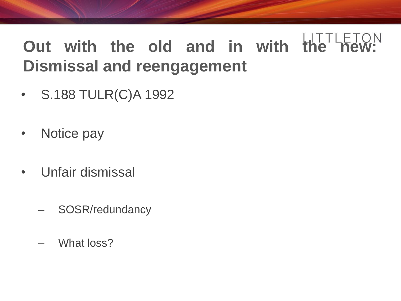## **Out with the old and in with the new: Dismissal and reengagement**

- S.188 TULR(C)A 1992
- Notice pay
- Unfair dismissal
	- SOSR/redundancy
	- What loss?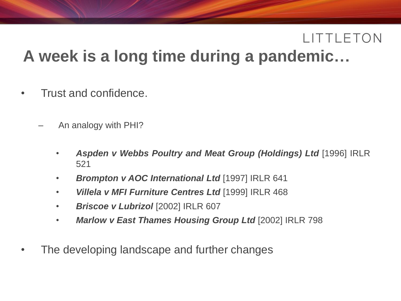## **A week is a long time during a pandemic…**

- Trust and confidence.
	- An analogy with PHI?
		- *Aspden v Webbs Poultry and Meat Group (Holdings) Ltd* [1996] IRLR 521
		- *Brompton v AOC International Ltd* [1997] IRLR 641
		- *Villela v MFI Furniture Centres Ltd* [1999] IRLR 468
		- *Briscoe v Lubrizol* [2002] IRLR 607
		- *Marlow v East Thames Housing Group Ltd* [2002] IRLR 798
- The developing landscape and further changes